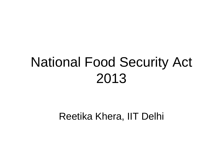## National Food Security Act 2013

Reetika Khera, IIT Delhi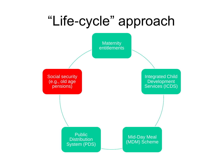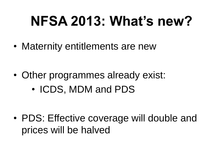# **NFSA 2013: What's new?**

• Maternity entitlements are new

• Other programmes already exist: • ICDS, MDM and PDS

• PDS: Effective coverage will double and prices will be halved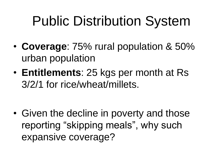# Public Distribution System

- **Coverage**: 75% rural population & 50% urban population
- **Entitlements**: 25 kgs per month at Rs 3/2/1 for rice/wheat/millets.

• Given the decline in poverty and those reporting "skipping meals", why such expansive coverage?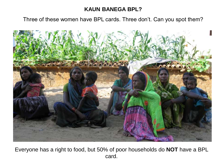#### **KAUN BANEGA BPL?**

Three of these women have BPL cards. Three don't. Can you spot them?



Everyone has a right to food, but 50% of poor households do **NOT** have a BPL card.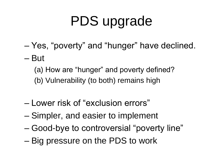# PDS upgrade

- Yes, "poverty" and "hunger" have declined.
- But

(a) How are "hunger" and poverty defined?

(b) Vulnerability (to both) remains high

- Lower risk of "exclusion errors"
- Simpler, and easier to implement
- Good-bye to controversial "poverty line"
- Big pressure on the PDS to work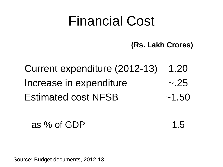### Financial Cost

 **(Rs. Lakh Crores)**

Current expenditure (2012-13) 1.20 Increase in expenditure ~.25 Estimated cost NFSB ~1.50

as % of GDP  $1.5$ 

Source: Budget documents, 2012-13.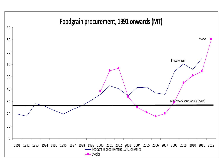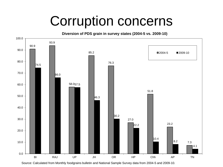## Corruption concerns

90.9 93.9 58.0 57.5 85.2 76.3 27.0 51.8 23.2 7.3 74.5 66.0 46.3  $30.2$ 22.2  $10.4$ 8.2 4.1 0.0 10.0 20.0 30.0 40.0 50.0 60.0 70.0 80.0 90.0 100.0 **Diversion of PDS grain in survey states (2004-5 vs. 2009-10)** ■2004-5 ■2009-10

Source: Calculated from Monthly foodgrains bulletin and National Sample Survey data from 2004-5 and 2009-10.

BI RAJ UP JH OR HP Chh AP TN